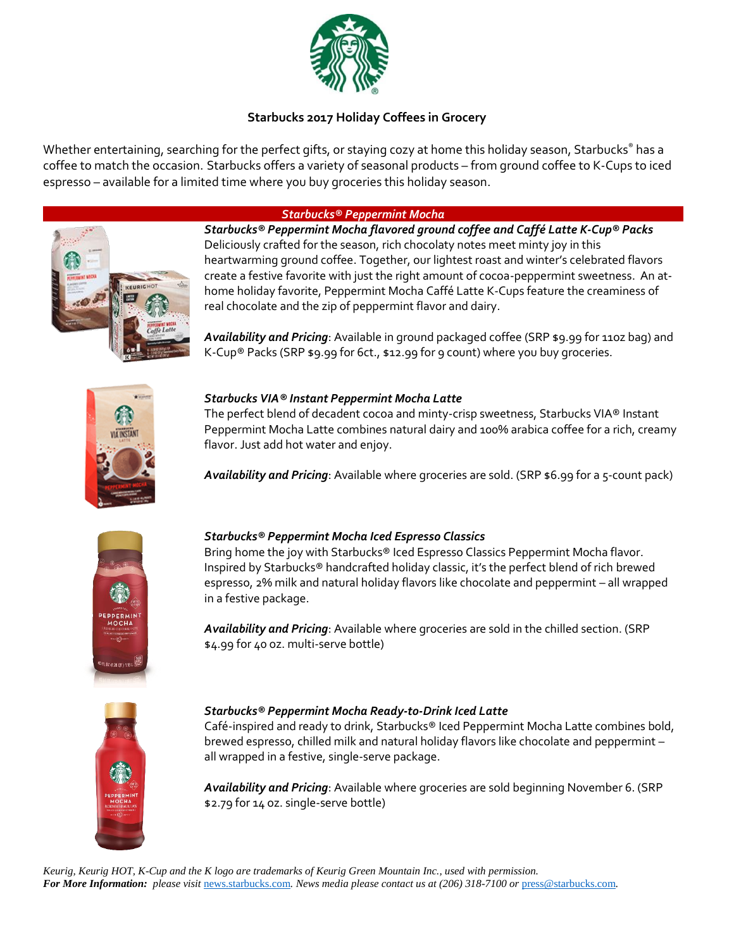

# **Starbucks 2017 Holiday Coffees in Grocery**

Whether entertaining, searching for the perfect gifts, or staying cozy at home this holiday season, Starbucks® has a coffee to match the occasion. Starbucks offers a variety of seasonal products – from ground coffee to K-Cups to iced espresso – available for a limited time where you buy groceries this holiday season.

## *Starbucks® Peppermint Mocha*



*Starbucks® Peppermint Mocha flavored ground coffee and Caffé Latte K-Cup® Packs* Deliciously crafted for the season, rich chocolaty notes meet minty joy in this heartwarming ground coffee. Together, our lightest roast and winter's celebrated flavors create a festive favorite with just the right amount of cocoa-peppermint sweetness. An athome holiday favorite, Peppermint Mocha Caffé Latte K-Cups feature the creaminess of real chocolate and the zip of peppermint flavor and dairy.

*Availability and Pricing*: Available in ground packaged coffee (SRP \$9.99 for 11oz bag) and K-Cup® Packs (SRP \$9.99 for 6ct., \$12.99 for 9 count) where you buy groceries.



## *Starbucks VIA® Instant Peppermint Mocha Latte*

The perfect blend of decadent cocoa and minty-crisp sweetness, Starbucks VIA® Instant Peppermint Mocha Latte combines natural dairy and 100% arabica coffee for a rich, creamy flavor. Just add hot water and enjoy.

*Availability and Pricing*: Available where groceries are sold. (SRP \$6.99 for a 5-count pack)



## *Starbucks® Peppermint Mocha Iced Espresso Classics*

Bring home the joy with Starbucks® Iced Espresso Classics Peppermint Mocha flavor. Inspired by Starbucks® handcrafted holiday classic, it's the perfect blend of rich brewed espresso, 2% milk and natural holiday flavors like chocolate and peppermint – all wrapped in a festive package.

*Availability and Pricing*: Available where groceries are sold in the chilled section. (SRP \$4.99 for 40 oz. multi-serve bottle)



### *Starbucks® Peppermint Mocha Ready-to-Drink Iced Latte*

Café-inspired and ready to drink, Starbucks® Iced Peppermint Mocha Latte combines bold, brewed espresso, chilled milk and natural holiday flavors like chocolate and peppermint – all wrapped in a festive, single-serve package.

*Availability and Pricing*: Available where groceries are sold beginning November 6. (SRP \$2.79 for 14 oz. single-serve bottle)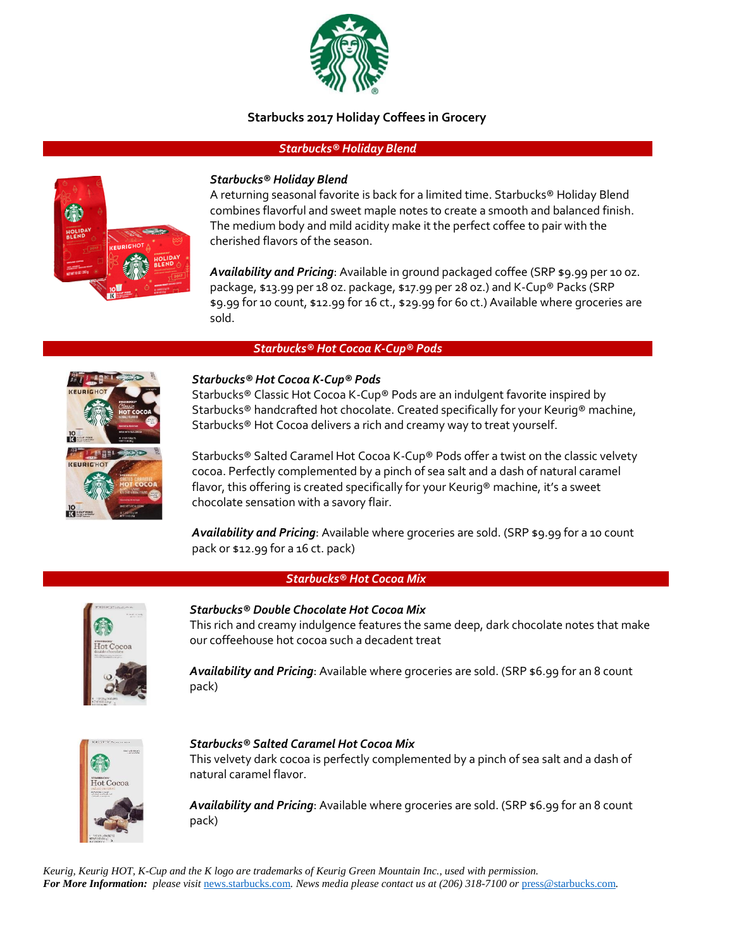

### **Starbucks 2017 Holiday Coffees in Grocery**

#### *Starbucks® Holiday Blend*



#### *Starbucks® Holiday Blend*

A returning seasonal favorite is back for a limited time. Starbucks® Holiday Blend combines flavorful and sweet maple notes to create a smooth and balanced finish. The medium body and mild acidity make it the perfect coffee to pair with the cherished flavors of the season.

*Availability and Pricing*: Available in ground packaged coffee (SRP \$9.99 per 10 oz. package, \$13.99 per 18 oz. package, \$17.99 per 28 oz.) and K-Cup® Packs (SRP \$9.99 for 10 count, \$12.99 for 16 ct., \$29.99 for 60 ct.) Available where groceries are sold.

#### *Starbucks® Hot Cocoa K-Cup® Pods*



#### *Starbucks® Hot Cocoa K-Cup® Pods*

Starbucks® Classic Hot Cocoa K-Cup® Pods are an indulgent favorite inspired by Starbucks® handcrafted hot chocolate. Created specifically for your Keurig® machine, Starbucks® Hot Cocoa delivers a rich and creamy way to treat yourself.

Starbucks® Salted Caramel Hot Cocoa K-Cup® Pods offer a twist on the classic velvety cocoa. Perfectly complemented by a pinch of sea salt and a dash of natural caramel flavor, this offering is created specifically for your Keurig® machine, it's a sweet chocolate sensation with a savory flair.

*Availability and Pricing*: Available where groceries are sold. (SRP \$9.99 for a 10 count pack or \$12.99 for a 16 ct. pack)

#### *Starbucks® Hot Cocoa Mix*



*Starbucks® Double Chocolate Hot Cocoa Mix*  This rich and creamy indulgence features the same deep, dark chocolate notes that make our coffeehouse hot cocoa such a decadent treat

*Availability and Pricing*: Available where groceries are sold. (SRP \$6.99 for an 8 count pack)



#### *Starbucks® Salted Caramel Hot Cocoa Mix*

This velvety dark cocoa is perfectly complemented by a pinch of sea salt and a dash of natural caramel flavor.

*Availability and Pricing*: Available where groceries are sold. (SRP \$6.99 for an 8 count pack)